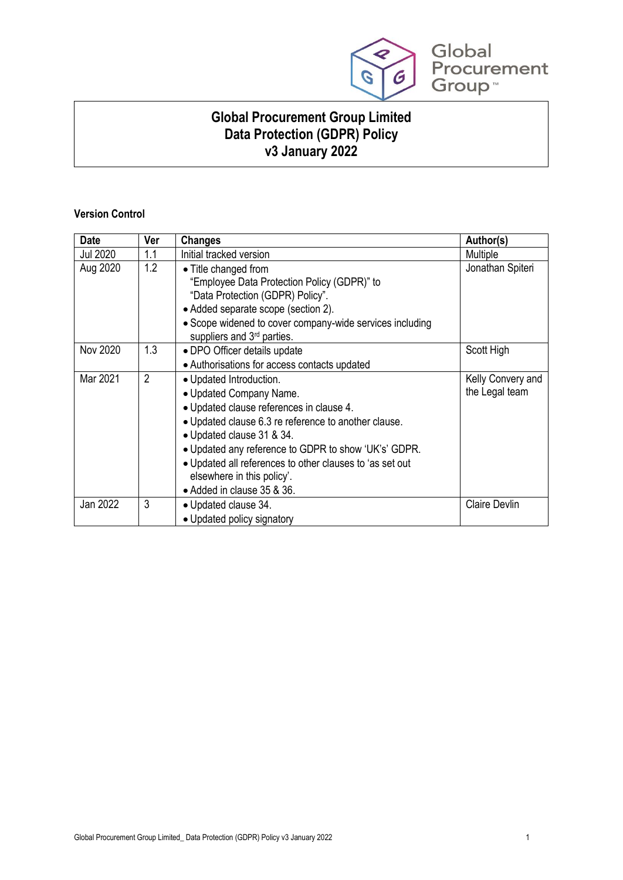

**Global Procurement Group Limited Data Protection (GDPR) Policy v3 January 2022**

# **Version Control**

| <b>Date</b>     | Ver | <b>Changes</b>                                                                                                                                                                                                                                                                                                                                                      | Author(s)                           |
|-----------------|-----|---------------------------------------------------------------------------------------------------------------------------------------------------------------------------------------------------------------------------------------------------------------------------------------------------------------------------------------------------------------------|-------------------------------------|
| <b>Jul 2020</b> | 1.1 | Initial tracked version                                                                                                                                                                                                                                                                                                                                             | Multiple                            |
| Aug 2020        | 1.2 | • Title changed from<br>"Employee Data Protection Policy (GDPR)" to<br>"Data Protection (GDPR) Policy".<br>• Added separate scope (section 2).<br>• Scope widened to cover company-wide services including<br>suppliers and 3rd parties.                                                                                                                            | Jonathan Spiteri                    |
| Nov 2020        | 1.3 | • DPO Officer details update<br>• Authorisations for access contacts updated                                                                                                                                                                                                                                                                                        | Scott High                          |
| Mar 2021        | 2   | • Updated Introduction.<br>• Updated Company Name.<br>• Updated clause references in clause 4.<br>• Updated clause 6.3 re reference to another clause.<br>• Updated clause 31 & 34.<br>• Updated any reference to GDPR to show 'UK's' GDPR.<br>. Updated all references to other clauses to 'as set out<br>elsewhere in this policy'.<br>• Added in clause 35 & 36. | Kelly Convery and<br>the Legal team |
| Jan 2022        | 3   | • Updated clause 34.<br>• Updated policy signatory                                                                                                                                                                                                                                                                                                                  | <b>Claire Devlin</b>                |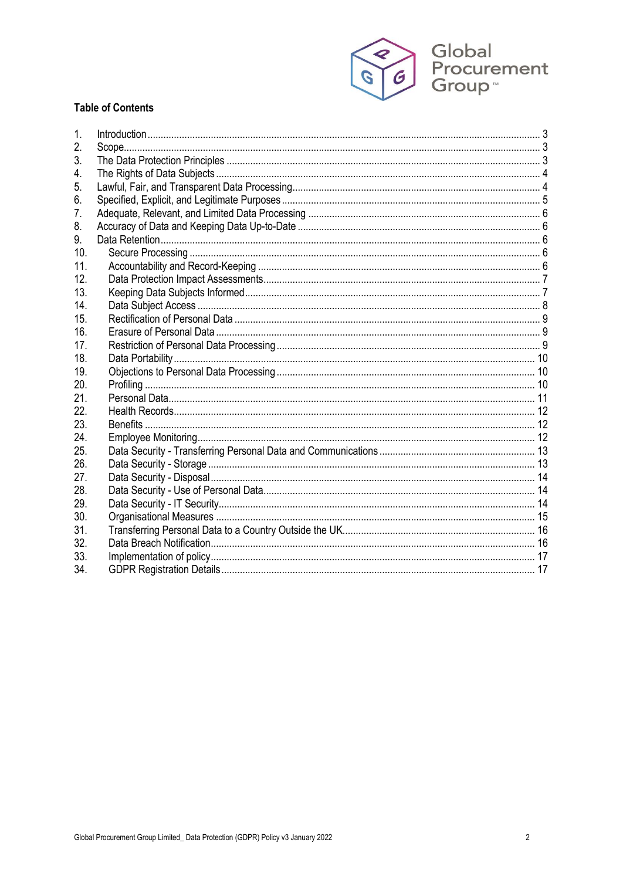

# **Table of Contents**

| 1.            |  |
|---------------|--|
| 2.            |  |
| 3.            |  |
| 4.            |  |
| 5.            |  |
| 6.            |  |
| $\mathcal{L}$ |  |
| 8.            |  |
| 9.            |  |
| 10.           |  |
| 11.           |  |
| 12.           |  |
| 13.           |  |
| 14.           |  |
| 15.           |  |
| 16.           |  |
| 17.           |  |
| 18.           |  |
| 19.           |  |
| 20.           |  |
| 21.           |  |
| 22.           |  |
| 23.           |  |
| 24.           |  |
| 25.           |  |
| 26.           |  |
| 27.           |  |
| 28.           |  |
| 29.           |  |
| 30.           |  |
| 31.           |  |
| 32.           |  |
| 33.           |  |
| 34.           |  |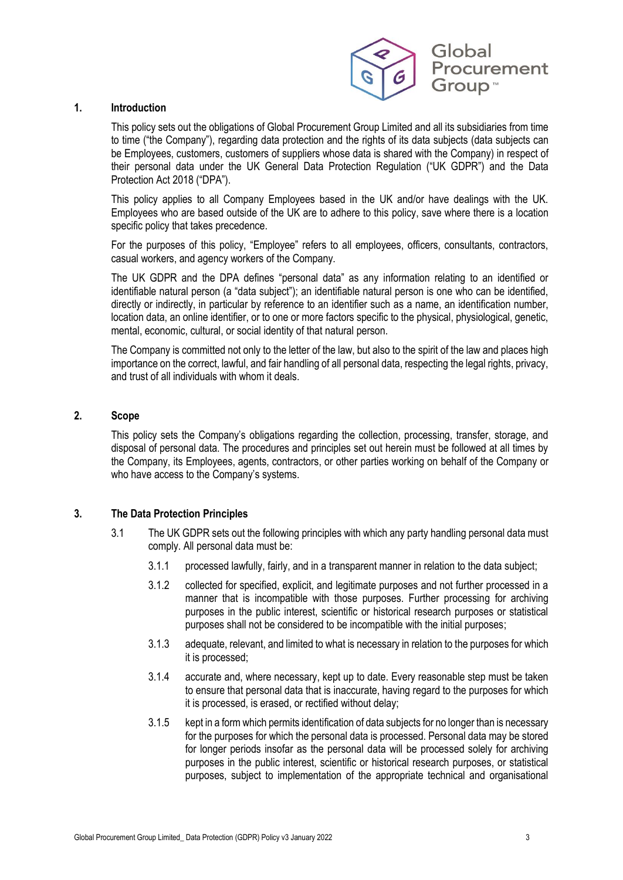

#### **1. Introduction**

This policy sets out the obligations of Global Procurement Group Limited and all its subsidiaries from time to time ("the Company"), regarding data protection and the rights of its data subjects (data subjects can be Employees, customers, customers of suppliers whose data is shared with the Company) in respect of their personal data under the UK General Data Protection Regulation ("UK GDPR") and the Data Protection Act 2018 ("DPA").

This policy applies to all Company Employees based in the UK and/or have dealings with the UK. Employees who are based outside of the UK are to adhere to this policy, save where there is a location specific policy that takes precedence.

For the purposes of this policy, "Employee" refers to all employees, officers, consultants, contractors, casual workers, and agency workers of the Company.

The UK GDPR and the DPA defines "personal data" as any information relating to an identified or identifiable natural person (a "data subject"); an identifiable natural person is one who can be identified, directly or indirectly, in particular by reference to an identifier such as a name, an identification number, location data, an online identifier, or to one or more factors specific to the physical, physiological, genetic, mental, economic, cultural, or social identity of that natural person.

The Company is committed not only to the letter of the law, but also to the spirit of the law and places high importance on the correct, lawful, and fair handling of all personal data, respecting the legal rights, privacy, and trust of all individuals with whom it deals.

#### **2. Scope**

This policy sets the Company's obligations regarding the collection, processing, transfer, storage, and disposal of personal data. The procedures and principles set out herein must be followed at all times by the Company, its Employees, agents, contractors, or other parties working on behalf of the Company or who have access to the Company's systems.

### **3. The Data Protection Principles**

- 3.1 The UK GDPR sets out the following principles with which any party handling personal data must comply. All personal data must be:
	- 3.1.1 processed lawfully, fairly, and in a transparent manner in relation to the data subject;
	- 3.1.2 collected for specified, explicit, and legitimate purposes and not further processed in a manner that is incompatible with those purposes. Further processing for archiving purposes in the public interest, scientific or historical research purposes or statistical purposes shall not be considered to be incompatible with the initial purposes;
	- 3.1.3 adequate, relevant, and limited to what is necessary in relation to the purposes for which it is processed;
	- 3.1.4 accurate and, where necessary, kept up to date. Every reasonable step must be taken to ensure that personal data that is inaccurate, having regard to the purposes for which it is processed, is erased, or rectified without delay;
	- 3.1.5 kept in a form which permits identification of data subjects for no longer than is necessary for the purposes for which the personal data is processed. Personal data may be stored for longer periods insofar as the personal data will be processed solely for archiving purposes in the public interest, scientific or historical research purposes, or statistical purposes, subject to implementation of the appropriate technical and organisational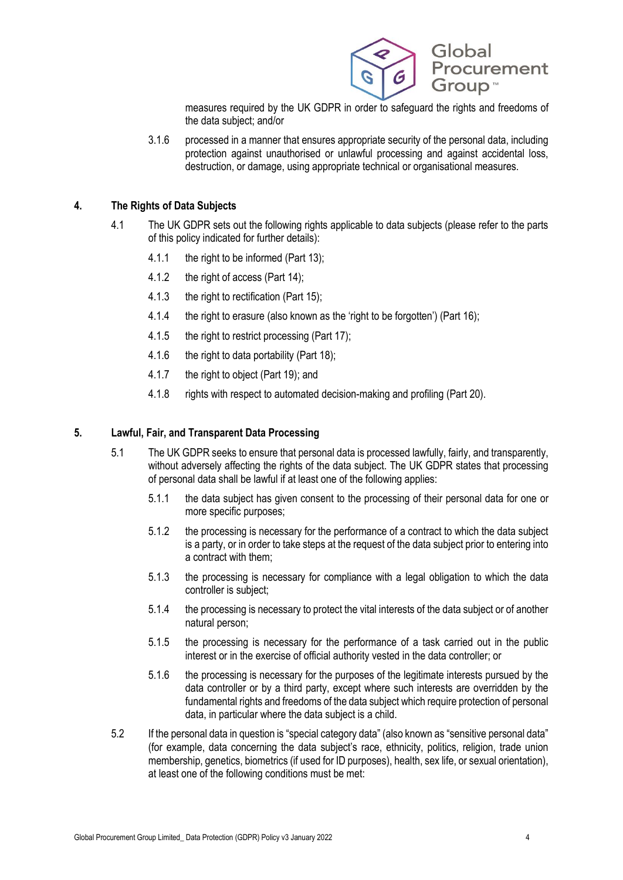

measures required by the UK GDPR in order to safeguard the rights and freedoms of the data subject; and/or

3.1.6 processed in a manner that ensures appropriate security of the personal data, including protection against unauthorised or unlawful processing and against accidental loss, destruction, or damage, using appropriate technical or organisational measures.

### **4. The Rights of Data Subjects**

- 4.1 The UK GDPR sets out the following rights applicable to data subiects (please refer to the parts of this policy indicated for further details):
	- 4.1.1 the right to be informed (Part 13);
	- 4.1.2 the right of access (Part 14);
	- 4.1.3 the right to rectification (Part 15);
	- 4.1.4 the right to erasure (also known as the 'right to be forgotten') (Part 16);
	- 4.1.5 the right to restrict processing (Part 17);
	- 4.1.6 the right to data portability (Part 18);
	- 4.1.7 the right to object (Part 19); and
	- 4.1.8 rights with respect to automated decision-making and profiling (Part 20).

### **5. Lawful, Fair, and Transparent Data Processing**

- 5.1 The UK GDPR seeks to ensure that personal data is processed lawfully, fairly, and transparently, without adversely affecting the rights of the data subject. The UK GDPR states that processing of personal data shall be lawful if at least one of the following applies:
	- 5.1.1 the data subject has given consent to the processing of their personal data for one or more specific purposes;
	- 5.1.2 the processing is necessary for the performance of a contract to which the data subject is a party, or in order to take steps at the request of the data subject prior to entering into a contract with them;
	- 5.1.3 the processing is necessary for compliance with a legal obligation to which the data controller is subject;
	- 5.1.4 the processing is necessary to protect the vital interests of the data subject or of another natural person;
	- 5.1.5 the processing is necessary for the performance of a task carried out in the public interest or in the exercise of official authority vested in the data controller; or
	- 5.1.6 the processing is necessary for the purposes of the legitimate interests pursued by the data controller or by a third party, except where such interests are overridden by the fundamental rights and freedoms of the data subject which require protection of personal data, in particular where the data subject is a child.
- 5.2 If the personal data in question is "special category data" (also known as "sensitive personal data" (for example, data concerning the data subject's race, ethnicity, politics, religion, trade union membership, genetics, biometrics (if used for ID purposes), health, sex life, or sexual orientation), at least one of the following conditions must be met: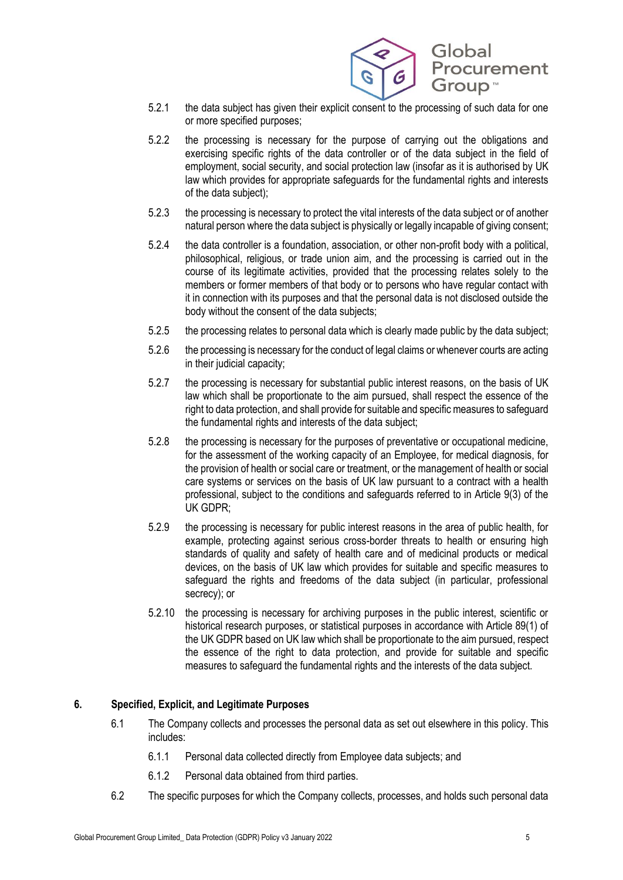

- 5.2.1 the data subject has given their explicit consent to the processing of such data for one or more specified purposes;
- 5.2.2 the processing is necessary for the purpose of carrying out the obligations and exercising specific rights of the data controller or of the data subject in the field of employment, social security, and social protection law (insofar as it is authorised by UK law which provides for appropriate safeguards for the fundamental rights and interests of the data subject);
- 5.2.3 the processing is necessary to protect the vital interests of the data subject or of another natural person where the data subject is physically or legally incapable of giving consent;
- 5.2.4 the data controller is a foundation, association, or other non-profit body with a political, philosophical, religious, or trade union aim, and the processing is carried out in the course of its legitimate activities, provided that the processing relates solely to the members or former members of that body or to persons who have regular contact with it in connection with its purposes and that the personal data is not disclosed outside the body without the consent of the data subjects;
- 5.2.5 the processing relates to personal data which is clearly made public by the data subject;
- 5.2.6 the processing is necessary for the conduct of legal claims or whenever courts are acting in their judicial capacity;
- 5.2.7 the processing is necessary for substantial public interest reasons, on the basis of UK law which shall be proportionate to the aim pursued, shall respect the essence of the right to data protection, and shall provide for suitable and specific measures to safeguard the fundamental rights and interests of the data subject;
- 5.2.8 the processing is necessary for the purposes of preventative or occupational medicine, for the assessment of the working capacity of an Employee, for medical diagnosis, for the provision of health or social care or treatment, or the management of health or social care systems or services on the basis of UK law pursuant to a contract with a health professional, subject to the conditions and safeguards referred to in Article 9(3) of the UK GDPR;
- 5.2.9 the processing is necessary for public interest reasons in the area of public health, for example, protecting against serious cross-border threats to health or ensuring high standards of quality and safety of health care and of medicinal products or medical devices, on the basis of UK law which provides for suitable and specific measures to safeguard the rights and freedoms of the data subject (in particular, professional secrecy); or
- 5.2.10 the processing is necessary for archiving purposes in the public interest, scientific or historical research purposes, or statistical purposes in accordance with Article 89(1) of the UK GDPR based on UK law which shall be proportionate to the aim pursued, respect the essence of the right to data protection, and provide for suitable and specific measures to safeguard the fundamental rights and the interests of the data subject.

# **6. Specified, Explicit, and Legitimate Purposes**

- 6.1 The Company collects and processes the personal data as set out elsewhere in this policy. This includes:
	- 6.1.1 Personal data collected directly from Employee data subjects; and
	- 6.1.2 Personal data obtained from third parties.
- 6.2 The specific purposes for which the Company collects, processes, and holds such personal data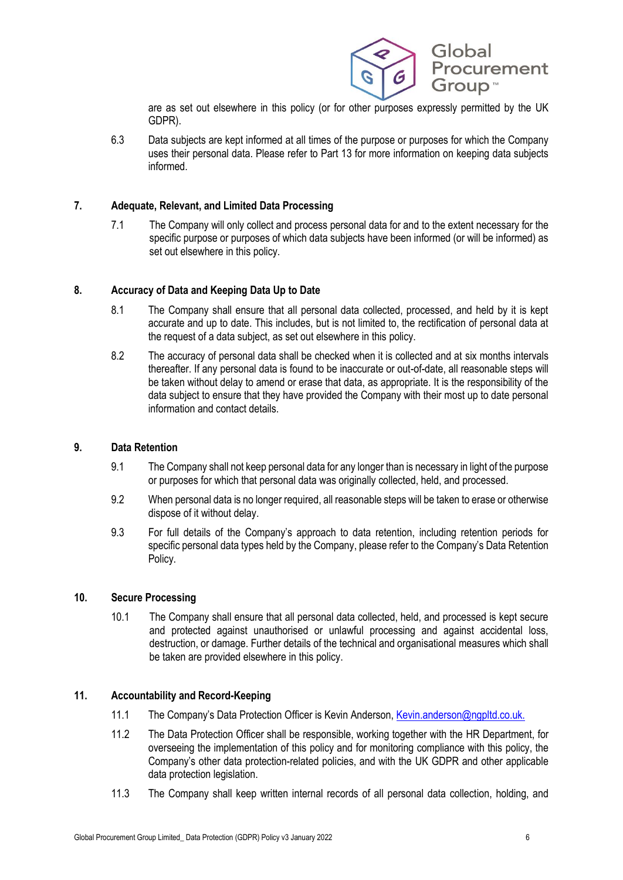

are as set out elsewhere in this policy (or for other purposes expressly permitted by the UK GDPR).

6.3 Data subjects are kept informed at all times of the purpose or purposes for which the Company uses their personal data. Please refer to Part 13 for more information on keeping data subjects informed.

# **7. Adequate, Relevant, and Limited Data Processing**

7.1 The Company will only collect and process personal data for and to the extent necessary for the specific purpose or purposes of which data subjects have been informed (or will be informed) as set out elsewhere in this policy.

# **8. Accuracy of Data and Keeping Data Up to Date**

- 8.1 The Company shall ensure that all personal data collected, processed, and held by it is kept accurate and up to date. This includes, but is not limited to, the rectification of personal data at the request of a data subject, as set out elsewhere in this policy.
- 8.2 The accuracy of personal data shall be checked when it is collected and at six months intervals thereafter. If any personal data is found to be inaccurate or out-of-date, all reasonable steps will be taken without delay to amend or erase that data, as appropriate. It is the responsibility of the data subject to ensure that they have provided the Company with their most up to date personal information and contact details.

### **9. Data Retention**

- 9.1 The Company shall not keep personal data for any longer than is necessary in light of the purpose or purposes for which that personal data was originally collected, held, and processed.
- 9.2 When personal data is no longer required, all reasonable steps will be taken to erase or otherwise dispose of it without delay.
- 9.3 For full details of the Company's approach to data retention, including retention periods for specific personal data types held by the Company, please refer to the Company's Data Retention Policy.

### **10. Secure Processing**

10.1 The Company shall ensure that all personal data collected, held, and processed is kept secure and protected against unauthorised or unlawful processing and against accidental loss, destruction, or damage. Further details of the technical and organisational measures which shall be taken are provided elsewhere in this policy.

### **11. Accountability and Record-Keeping**

- 11.1 The Company's Data Protection Officer is Kevin Anderson, Kevin anderson@ngpltd.co.uk.
- 11.2 The Data Protection Officer shall be responsible, working together with the HR Department, for overseeing the implementation of this policy and for monitoring compliance with this policy, the Company's other data protection-related policies, and with the UK GDPR and other applicable data protection legislation.
- 11.3 The Company shall keep written internal records of all personal data collection, holding, and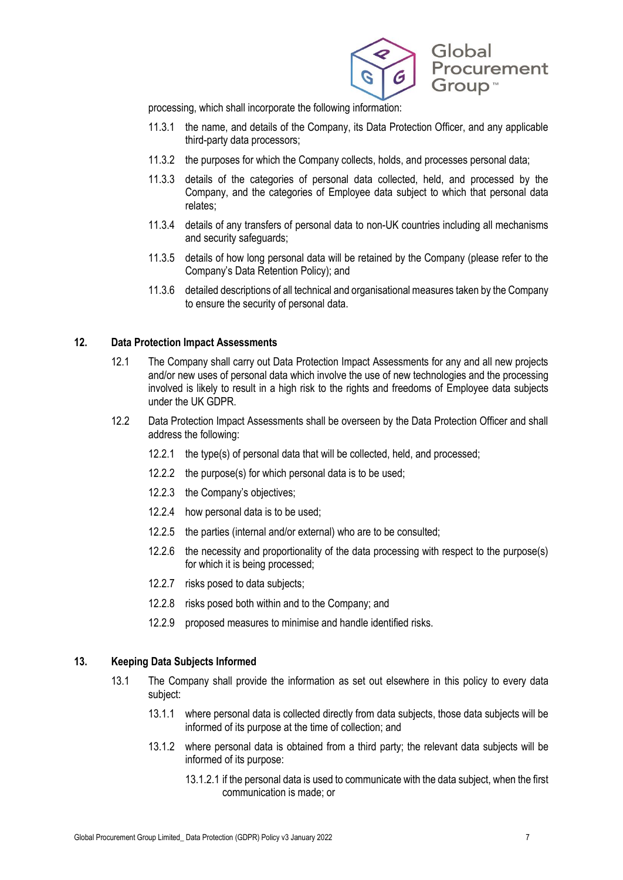

processing, which shall incorporate the following information:

- 11.3.1 the name, and details of the Company, its Data Protection Officer, and any applicable third-party data processors;
- 11.3.2 the purposes for which the Company collects, holds, and processes personal data;
- 11.3.3 details of the categories of personal data collected, held, and processed by the Company, and the categories of Employee data subject to which that personal data relates;
- 11.3.4 details of any transfers of personal data to non-UK countries including all mechanisms and security safeguards;
- 11.3.5 details of how long personal data will be retained by the Company (please refer to the Company's Data Retention Policy); and
- 11.3.6 detailed descriptions of all technical and organisational measures taken by the Company to ensure the security of personal data.

#### **12. Data Protection Impact Assessments**

- 12.1 The Company shall carry out Data Protection Impact Assessments for any and all new projects and/or new uses of personal data which involve the use of new technologies and the processing involved is likely to result in a high risk to the rights and freedoms of Employee data subjects under the UK GDPR.
- 12.2 Data Protection Impact Assessments shall be overseen by the Data Protection Officer and shall address the following:
	- 12.2.1 the type(s) of personal data that will be collected, held, and processed;
	- 12.2.2 the purpose(s) for which personal data is to be used;
	- 12.2.3 the Company's objectives;
	- 12.2.4 how personal data is to be used;
	- 12.2.5 the parties (internal and/or external) who are to be consulted;
	- 12.2.6 the necessity and proportionality of the data processing with respect to the purpose(s) for which it is being processed;
	- 12.2.7 risks posed to data subjects;
	- 12.2.8 risks posed both within and to the Company; and
	- 12.2.9 proposed measures to minimise and handle identified risks.

#### **13. Keeping Data Subjects Informed**

- 13.1 The Company shall provide the information as set out elsewhere in this policy to every data subject:
	- 13.1.1 where personal data is collected directly from data subjects, those data subjects will be informed of its purpose at the time of collection; and
	- 13.1.2 where personal data is obtained from a third party; the relevant data subjects will be informed of its purpose:
		- 13.1.2.1 if the personal data is used to communicate with the data subject, when the first communication is made; or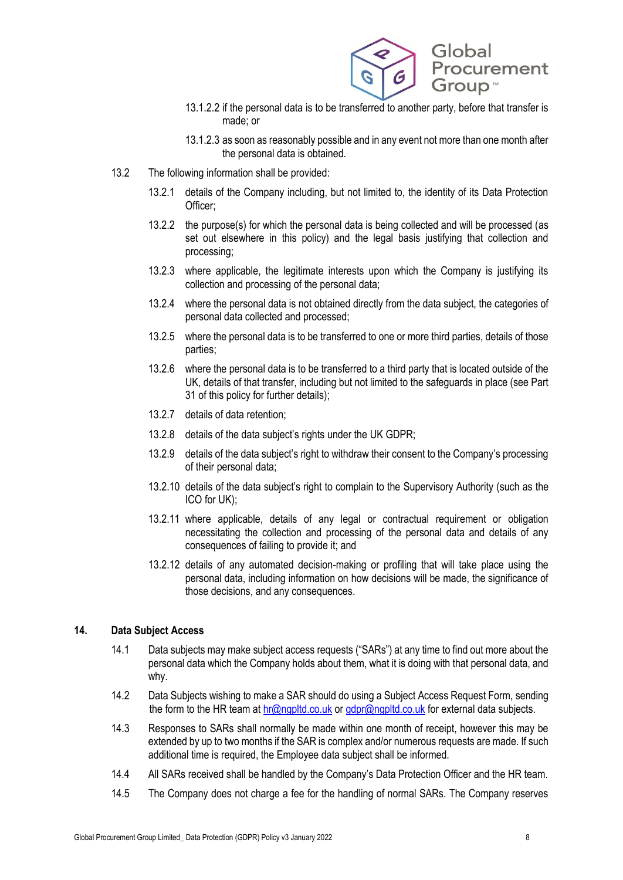

- 13.1.2.2 if the personal data is to be transferred to another party, before that transfer is made; or
- 13.1.2.3 as soon as reasonably possible and in any event not more than one month after the personal data is obtained.
- 13.2 The following information shall be provided:
	- 13.2.1 details of the Company including, but not limited to, the identity of its Data Protection Officer;
	- 13.2.2 the purpose(s) for which the personal data is being collected and will be processed (as set out elsewhere in this policy) and the legal basis justifying that collection and processing;
	- 13.2.3 where applicable, the legitimate interests upon which the Company is justifying its collection and processing of the personal data;
	- 13.2.4 where the personal data is not obtained directly from the data subject, the categories of personal data collected and processed;
	- 13.2.5 where the personal data is to be transferred to one or more third parties, details of those parties;
	- 13.2.6 where the personal data is to be transferred to a third party that is located outside of the UK, details of that transfer, including but not limited to the safeguards in place (see Part 31 of this policy for further details);
	- 13.2.7 details of data retention;
	- 13.2.8 details of the data subject's rights under the UK GDPR;
	- 13.2.9 details of the data subject's right to withdraw their consent to the Company's processing of their personal data;
	- 13.2.10 details of the data subject's right to complain to the Supervisory Authority (such as the ICO for UK);
	- 13.2.11 where applicable, details of any legal or contractual requirement or obligation necessitating the collection and processing of the personal data and details of any consequences of failing to provide it; and
	- 13.2.12 details of any automated decision-making or profiling that will take place using the personal data, including information on how decisions will be made, the significance of those decisions, and any consequences.

### **14. Data Subject Access**

- 14.1 Data subjects may make subject access requests ("SARs") at any time to find out more about the personal data which the Company holds about them, what it is doing with that personal data, and why.
- 14.2 Data Subjects wishing to make a SAR should do using a Subject Access Request Form, sending the form to the HR team a[t hr@ngpltd.co.uk](mailto:hr@ngpltd.co.uk) o[r gdpr@ngpltd.co.uk](mailto:gdpr@ngpltd.co.uk) for external data subjects.
- 14.3 Responses to SARs shall normally be made within one month of receipt, however this may be extended by up to two months if the SAR is complex and/or numerous requests are made. If such additional time is required, the Employee data subject shall be informed.
- 14.4 All SARs received shall be handled by the Company's Data Protection Officer and the HR team.
- 14.5 The Company does not charge a fee for the handling of normal SARs. The Company reserves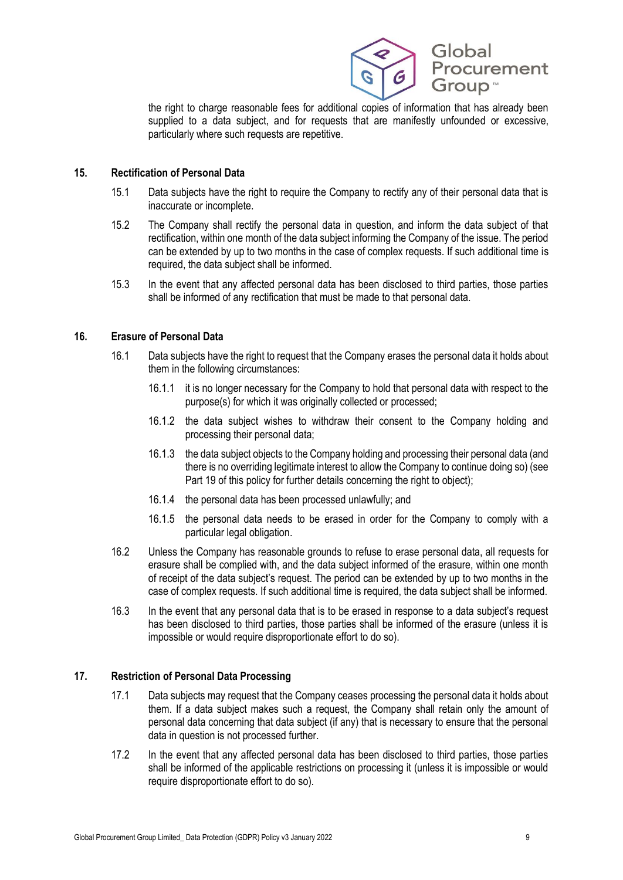

the right to charge reasonable fees for additional copies of information that has already been supplied to a data subject, and for requests that are manifestly unfounded or excessive, particularly where such requests are repetitive.

### **15. Rectification of Personal Data**

- 15.1 Data subjects have the right to require the Company to rectify any of their personal data that is inaccurate or incomplete.
- 15.2 The Company shall rectify the personal data in question, and inform the data subject of that rectification, within one month of the data subject informing the Company of the issue. The period can be extended by up to two months in the case of complex requests. If such additional time is required, the data subject shall be informed.
- 15.3 In the event that any affected personal data has been disclosed to third parties, those parties shall be informed of any rectification that must be made to that personal data.

# **16. Erasure of Personal Data**

- 16.1 Data subjects have the right to request that the Company erases the personal data it holds about them in the following circumstances:
	- 16.1.1 it is no longer necessary for the Company to hold that personal data with respect to the purpose(s) for which it was originally collected or processed;
	- 16.1.2 the data subject wishes to withdraw their consent to the Company holding and processing their personal data;
	- 16.1.3 the data subject objects to the Company holding and processing their personal data (and there is no overriding legitimate interest to allow the Company to continue doing so) (see Part 19 of this policy for further details concerning the right to object);
	- 16.1.4 the personal data has been processed unlawfully; and
	- 16.1.5 the personal data needs to be erased in order for the Company to comply with a particular legal obligation.
- 16.2 Unless the Company has reasonable grounds to refuse to erase personal data, all requests for erasure shall be complied with, and the data subject informed of the erasure, within one month of receipt of the data subject's request. The period can be extended by up to two months in the case of complex requests. If such additional time is required, the data subject shall be informed.
- 16.3 In the event that any personal data that is to be erased in response to a data subject's request has been disclosed to third parties, those parties shall be informed of the erasure (unless it is impossible or would require disproportionate effort to do so).

### **17. Restriction of Personal Data Processing**

- 17.1 Data subjects may request that the Company ceases processing the personal data it holds about them. If a data subject makes such a request, the Company shall retain only the amount of personal data concerning that data subject (if any) that is necessary to ensure that the personal data in question is not processed further.
- 17.2 In the event that any affected personal data has been disclosed to third parties, those parties shall be informed of the applicable restrictions on processing it (unless it is impossible or would require disproportionate effort to do so).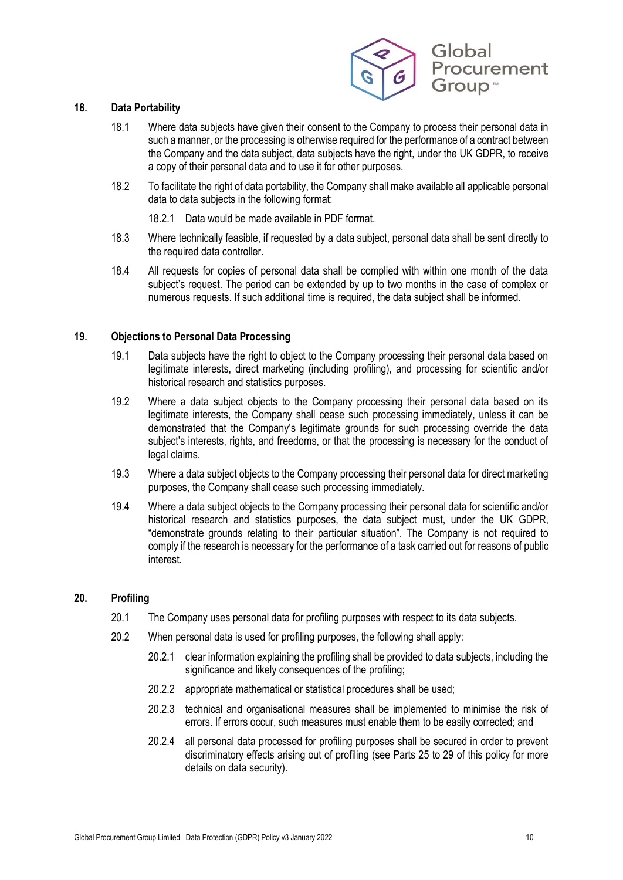

### **18. Data Portability**

- 18.1 Where data subjects have given their consent to the Company to process their personal data in such a manner, or the processing is otherwise required for the performance of a contract between the Company and the data subject, data subjects have the right, under the UK GDPR, to receive a copy of their personal data and to use it for other purposes.
- 18.2 To facilitate the right of data portability, the Company shall make available all applicable personal data to data subjects in the following format:
	- 18.2.1 Data would be made available in PDF format.
- 18.3 Where technically feasible, if requested by a data subject, personal data shall be sent directly to the required data controller.
- 18.4 All requests for copies of personal data shall be complied with within one month of the data subject's request. The period can be extended by up to two months in the case of complex or numerous requests. If such additional time is required, the data subject shall be informed.

#### **19. Objections to Personal Data Processing**

- 19.1 Data subjects have the right to object to the Company processing their personal data based on legitimate interests, direct marketing (including profiling), and processing for scientific and/or historical research and statistics purposes.
- 19.2 Where a data subject objects to the Company processing their personal data based on its legitimate interests, the Company shall cease such processing immediately, unless it can be demonstrated that the Company's legitimate grounds for such processing override the data subject's interests, rights, and freedoms, or that the processing is necessary for the conduct of legal claims.
- 19.3 Where a data subject objects to the Company processing their personal data for direct marketing purposes, the Company shall cease such processing immediately.
- 19.4 Where a data subject objects to the Company processing their personal data for scientific and/or historical research and statistics purposes, the data subject must, under the UK GDPR, "demonstrate grounds relating to their particular situation". The Company is not required to comply if the research is necessary for the performance of a task carried out for reasons of public interest.

### **20. Profiling**

- 20.1 The Company uses personal data for profiling purposes with respect to its data subjects.
- 20.2 When personal data is used for profiling purposes, the following shall apply:
	- 20.2.1 clear information explaining the profiling shall be provided to data subjects, including the significance and likely consequences of the profiling;
	- 20.2.2 appropriate mathematical or statistical procedures shall be used;
	- 20.2.3 technical and organisational measures shall be implemented to minimise the risk of errors. If errors occur, such measures must enable them to be easily corrected; and
	- 20.2.4 all personal data processed for profiling purposes shall be secured in order to prevent discriminatory effects arising out of profiling (see Parts 25 to 29 of this policy for more details on data security).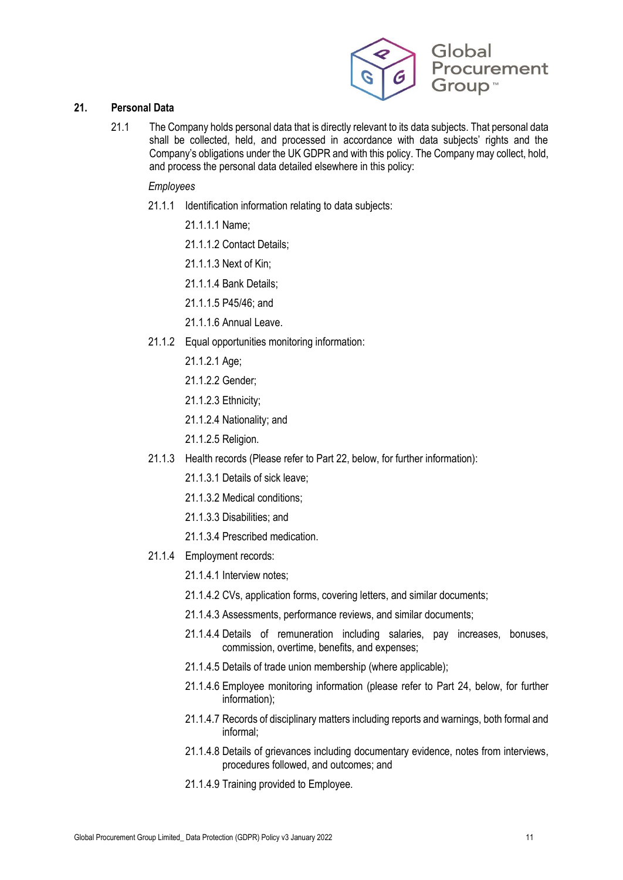

# **21. Personal Data**

21.1 The Company holds personal data that is directly relevant to its data subjects. That personal data shall be collected, held, and processed in accordance with data subjects' rights and the Company's obligations under the UK GDPR and with this policy. The Company may collect, hold, and process the personal data detailed elsewhere in this policy:

### *Employees*

- 21.1.1 Identification information relating to data subjects:
	- 21.1.1.1 Name;
	- 21.1.1.2 Contact Details;
	- 21.1.1.3 Next of Kin;
	- 21.1.1.4 Bank Details;
	- 21.1.1.5 P45/46; and
	- 21.1.1.6 Annual Leave.
- 21.1.2 Equal opportunities monitoring information:
	- 21.1.2.1 Age;
	- 21.1.2.2 Gender;
	- 21.1.2.3 Ethnicity;
	- 21.1.2.4 Nationality; and
	- 21.1.2.5 Religion.
- 21.1.3 Health records (Please refer to Part 22, below, for further information):
	- 21.1.3.1 Details of sick leave;
	- 21.1.3.2 Medical conditions;
	- 21.1.3.3 Disabilities; and
	- 21.1.3.4 Prescribed medication.
- 21.1.4 Employment records:
	- 21.1.4.1 Interview notes;
	- 21.1.4.2 CVs, application forms, covering letters, and similar documents;
	- 21.1.4.3 Assessments, performance reviews, and similar documents;
	- 21.1.4.4 Details of remuneration including salaries, pay increases, bonuses, commission, overtime, benefits, and expenses;
	- 21.1.4.5 Details of trade union membership (where applicable);
	- 21.1.4.6 Employee monitoring information (please refer to Part 24, below, for further information);
	- 21.1.4.7 Records of disciplinary matters including reports and warnings, both formal and informal;
	- 21.1.4.8 Details of grievances including documentary evidence, notes from interviews, procedures followed, and outcomes; and
	- 21.1.4.9 Training provided to Employee.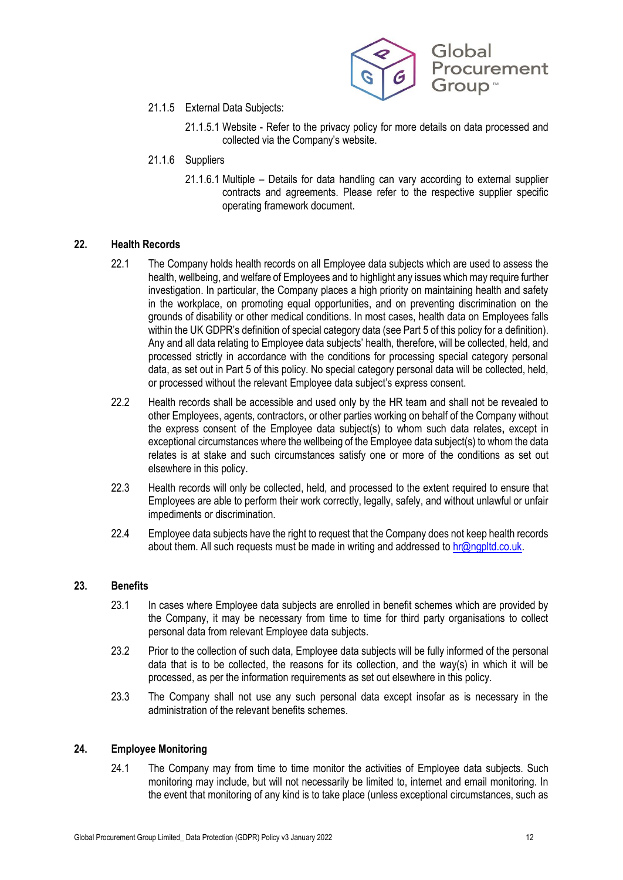

- 21.1.5 External Data Subjects:
	- 21.1.5.1 Website Refer to the privacy policy for more details on data processed and collected via the Company's website.
- 21.1.6 Suppliers
	- 21.1.6.1 Multiple Details for data handling can vary according to external supplier contracts and agreements. Please refer to the respective supplier specific operating framework document.

#### **22. Health Records**

- 22.1 The Company holds health records on all Employee data subjects which are used to assess the health, wellbeing, and welfare of Employees and to highlight any issues which may require further investigation. In particular, the Company places a high priority on maintaining health and safety in the workplace, on promoting equal opportunities, and on preventing discrimination on the grounds of disability or other medical conditions. In most cases, health data on Employees falls within the UK GDPR's definition of special category data (see Part 5 of this policy for a definition). Any and all data relating to Employee data subjects' health, therefore, will be collected, held, and processed strictly in accordance with the conditions for processing special category personal data, as set out in Part 5 of this policy. No special category personal data will be collected, held, or processed without the relevant Employee data subject's express consent.
- 22.2 Health records shall be accessible and used only by the HR team and shall not be revealed to other Employees, agents, contractors, or other parties working on behalf of the Company without the express consent of the Employee data subject(s) to whom such data relates**,** except in exceptional circumstances where the wellbeing of the Employee data subject(s) to whom the data relates is at stake and such circumstances satisfy one or more of the conditions as set out elsewhere in this policy.
- 22.3 Health records will only be collected, held, and processed to the extent required to ensure that Employees are able to perform their work correctly, legally, safely, and without unlawful or unfair impediments or discrimination.
- 22.4 Employee data subjects have the right to request that the Company does not keep health records about them. All such requests must be made in writing and addressed to [hr@ngpltd.co.uk.](mailto:hr@ngpltd.co.uk)

#### **23. Benefits**

- 23.1 In cases where Employee data subjects are enrolled in benefit schemes which are provided by the Company, it may be necessary from time to time for third party organisations to collect personal data from relevant Employee data subjects.
- 23.2 Prior to the collection of such data, Employee data subjects will be fully informed of the personal data that is to be collected, the reasons for its collection, and the way(s) in which it will be processed, as per the information requirements as set out elsewhere in this policy.
- 23.3 The Company shall not use any such personal data except insofar as is necessary in the administration of the relevant benefits schemes.

### **24. Employee Monitoring**

24.1 The Company may from time to time monitor the activities of Employee data subjects. Such monitoring may include, but will not necessarily be limited to, internet and email monitoring. In the event that monitoring of any kind is to take place (unless exceptional circumstances, such as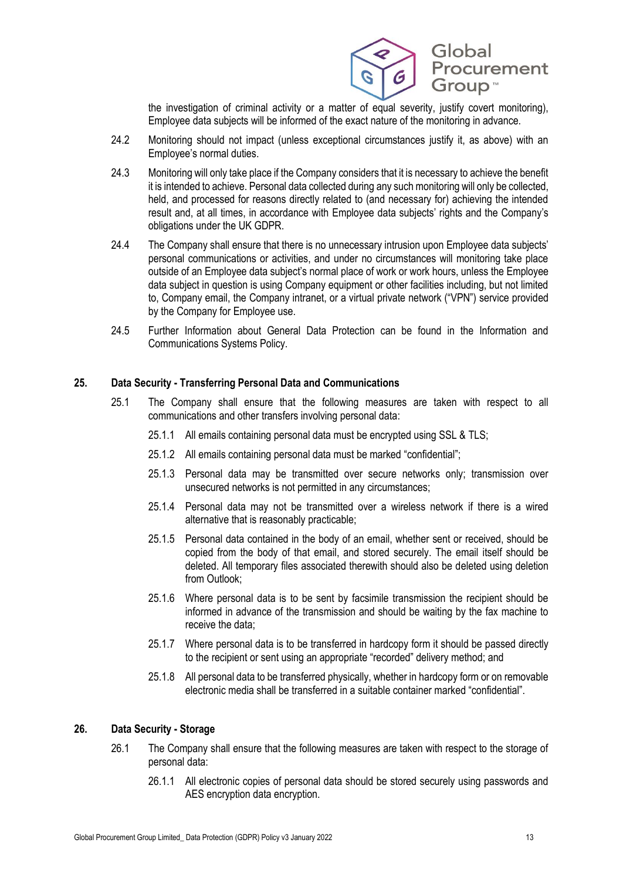

the investigation of criminal activity or a matter of equal severity, justify covert monitoring), Employee data subjects will be informed of the exact nature of the monitoring in advance.

- 24.2 Monitoring should not impact (unless exceptional circumstances justify it, as above) with an Employee's normal duties.
- 24.3 Monitoring will only take place if the Company considers that it is necessary to achieve the benefit it is intended to achieve. Personal data collected during any such monitoring will only be collected, held, and processed for reasons directly related to (and necessary for) achieving the intended result and, at all times, in accordance with Employee data subjects' rights and the Company's obligations under the UK GDPR.
- 24.4 The Company shall ensure that there is no unnecessary intrusion upon Employee data subjects' personal communications or activities, and under no circumstances will monitoring take place outside of an Employee data subject's normal place of work or work hours, unless the Employee data subject in question is using Company equipment or other facilities including, but not limited to, Company email, the Company intranet, or a virtual private network ("VPN") service provided by the Company for Employee use.
- 24.5 Further Information about General Data Protection can be found in the Information and Communications Systems Policy.

# **25. Data Security - Transferring Personal Data and Communications**

- 25.1 The Company shall ensure that the following measures are taken with respect to all communications and other transfers involving personal data:
	- 25.1.1 All emails containing personal data must be encrypted using SSL & TLS;
	- 25.1.2 All emails containing personal data must be marked "confidential";
	- 25.1.3 Personal data may be transmitted over secure networks only; transmission over unsecured networks is not permitted in any circumstances;
	- 25.1.4 Personal data may not be transmitted over a wireless network if there is a wired alternative that is reasonably practicable;
	- 25.1.5 Personal data contained in the body of an email, whether sent or received, should be copied from the body of that email, and stored securely. The email itself should be deleted. All temporary files associated therewith should also be deleted using deletion from Outlook;
	- 25.1.6 Where personal data is to be sent by facsimile transmission the recipient should be informed in advance of the transmission and should be waiting by the fax machine to receive the data;
	- 25.1.7 Where personal data is to be transferred in hardcopy form it should be passed directly to the recipient or sent using an appropriate "recorded" delivery method; and
	- 25.1.8 All personal data to be transferred physically, whether in hardcopy form or on removable electronic media shall be transferred in a suitable container marked "confidential".

# **26. Data Security - Storage**

- 26.1 The Company shall ensure that the following measures are taken with respect to the storage of personal data:
	- 26.1.1 All electronic copies of personal data should be stored securely using passwords and AES encryption data encryption.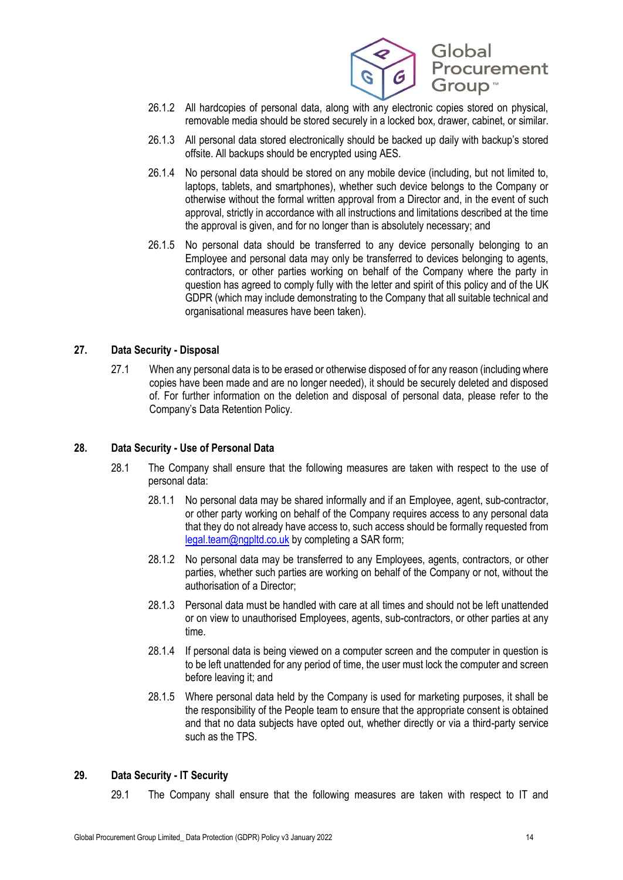

- 26.1.2 All hardcopies of personal data, along with any electronic copies stored on physical, removable media should be stored securely in a locked box, drawer, cabinet, or similar.
- 26.1.3 All personal data stored electronically should be backed up daily with backup's stored offsite. All backups should be encrypted using AES.
- 26.1.4 No personal data should be stored on any mobile device (including, but not limited to, laptops, tablets, and smartphones), whether such device belongs to the Company or otherwise without the formal written approval from a Director and, in the event of such approval, strictly in accordance with all instructions and limitations described at the time the approval is given, and for no longer than is absolutely necessary; and
- 26.1.5 No personal data should be transferred to any device personally belonging to an Employee and personal data may only be transferred to devices belonging to agents, contractors, or other parties working on behalf of the Company where the party in question has agreed to comply fully with the letter and spirit of this policy and of the UK GDPR (which may include demonstrating to the Company that all suitable technical and organisational measures have been taken).

# **27. Data Security - Disposal**

27.1 When any personal data is to be erased or otherwise disposed of for any reason (including where copies have been made and are no longer needed), it should be securely deleted and disposed of. For further information on the deletion and disposal of personal data, please refer to the Company's Data Retention Policy.

# **28. Data Security - Use of Personal Data**

- 28.1 The Company shall ensure that the following measures are taken with respect to the use of personal data:
	- 28.1.1 No personal data may be shared informally and if an Employee, agent, sub-contractor, or other party working on behalf of the Company requires access to any personal data that they do not already have access to, such access should be formally requested from [legal.team@ngpltd.co.uk](mailto:legal.team@ngpltd.co.uk) by completing a SAR form;
	- 28.1.2 No personal data may be transferred to any Employees, agents, contractors, or other parties, whether such parties are working on behalf of the Company or not, without the authorisation of a Director;
	- 28.1.3 Personal data must be handled with care at all times and should not be left unattended or on view to unauthorised Employees, agents, sub-contractors, or other parties at any time.
	- 28.1.4 If personal data is being viewed on a computer screen and the computer in question is to be left unattended for any period of time, the user must lock the computer and screen before leaving it; and
	- 28.1.5 Where personal data held by the Company is used for marketing purposes, it shall be the responsibility of the People team to ensure that the appropriate consent is obtained and that no data subjects have opted out, whether directly or via a third-party service such as the TPS.

# **29. Data Security - IT Security**

29.1 The Company shall ensure that the following measures are taken with respect to IT and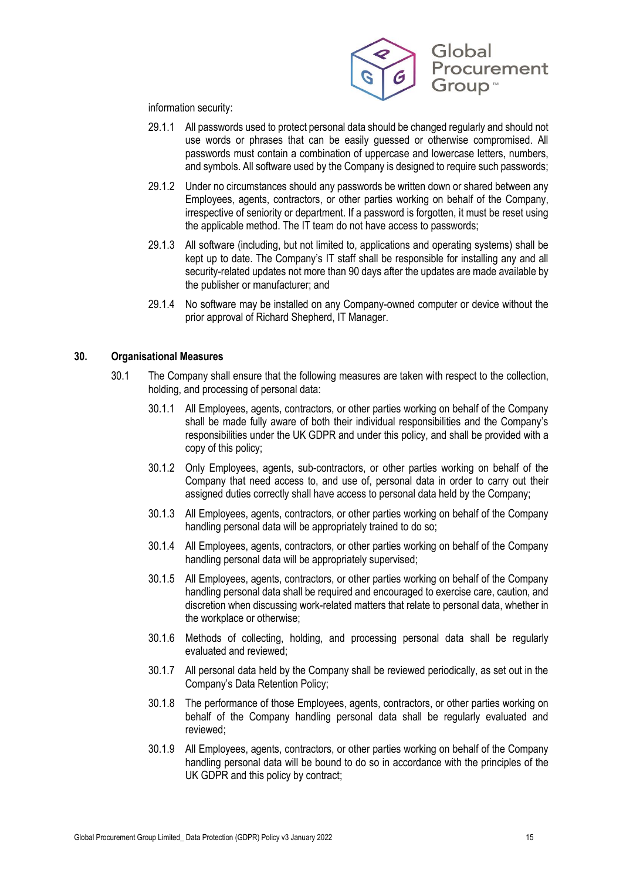

information security:

- 29.1.1 All passwords used to protect personal data should be changed regularly and should not use words or phrases that can be easily guessed or otherwise compromised. All passwords must contain a combination of uppercase and lowercase letters, numbers, and symbols. All software used by the Company is designed to require such passwords;
- 29.1.2 Under no circumstances should any passwords be written down or shared between any Employees, agents, contractors, or other parties working on behalf of the Company, irrespective of seniority or department. If a password is forgotten, it must be reset using the applicable method. The IT team do not have access to passwords;
- 29.1.3 All software (including, but not limited to, applications and operating systems) shall be kept up to date. The Company's IT staff shall be responsible for installing any and all security-related updates not more than 90 days after the updates are made available by the publisher or manufacturer; and
- 29.1.4 No software may be installed on any Company-owned computer or device without the prior approval of Richard Shepherd, IT Manager.

#### **30. Organisational Measures**

- 30.1 The Company shall ensure that the following measures are taken with respect to the collection, holding, and processing of personal data:
	- 30.1.1 All Employees, agents, contractors, or other parties working on behalf of the Company shall be made fully aware of both their individual responsibilities and the Company's responsibilities under the UK GDPR and under this policy, and shall be provided with a copy of this policy;
	- 30.1.2 Only Employees, agents, sub-contractors, or other parties working on behalf of the Company that need access to, and use of, personal data in order to carry out their assigned duties correctly shall have access to personal data held by the Company;
	- 30.1.3 All Employees, agents, contractors, or other parties working on behalf of the Company handling personal data will be appropriately trained to do so;
	- 30.1.4 All Employees, agents, contractors, or other parties working on behalf of the Company handling personal data will be appropriately supervised;
	- 30.1.5 All Employees, agents, contractors, or other parties working on behalf of the Company handling personal data shall be required and encouraged to exercise care, caution, and discretion when discussing work-related matters that relate to personal data, whether in the workplace or otherwise;
	- 30.1.6 Methods of collecting, holding, and processing personal data shall be regularly evaluated and reviewed;
	- 30.1.7 All personal data held by the Company shall be reviewed periodically, as set out in the Company's Data Retention Policy;
	- 30.1.8 The performance of those Employees, agents, contractors, or other parties working on behalf of the Company handling personal data shall be regularly evaluated and reviewed;
	- 30.1.9 All Employees, agents, contractors, or other parties working on behalf of the Company handling personal data will be bound to do so in accordance with the principles of the UK GDPR and this policy by contract;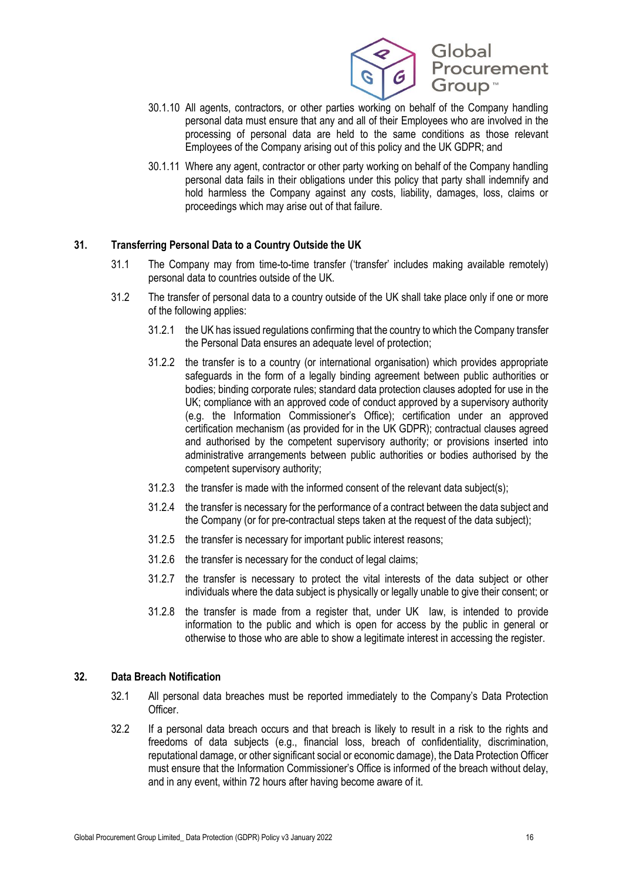

- 30.1.10 All agents, contractors, or other parties working on behalf of the Company handling personal data must ensure that any and all of their Employees who are involved in the processing of personal data are held to the same conditions as those relevant Employees of the Company arising out of this policy and the UK GDPR; and
- 30.1.11 Where any agent, contractor or other party working on behalf of the Company handling personal data fails in their obligations under this policy that party shall indemnify and hold harmless the Company against any costs, liability, damages, loss, claims or proceedings which may arise out of that failure.

# **31. Transferring Personal Data to a Country Outside the UK**

- 31.1 The Company may from time-to-time transfer ('transfer' includes making available remotely) personal data to countries outside of the UK.
- 31.2 The transfer of personal data to a country outside of the UK shall take place only if one or more of the following applies:
	- 31.2.1 the UK has issued regulations confirming that the country to which the Company transfer the Personal Data ensures an adequate level of protection;
	- 31.2.2 the transfer is to a country (or international organisation) which provides appropriate safeguards in the form of a legally binding agreement between public authorities or bodies; binding corporate rules; standard data protection clauses adopted for use in the UK; compliance with an approved code of conduct approved by a supervisory authority (e.g. the Information Commissioner's Office); certification under an approved certification mechanism (as provided for in the UK GDPR); contractual clauses agreed and authorised by the competent supervisory authority; or provisions inserted into administrative arrangements between public authorities or bodies authorised by the competent supervisory authority;
	- 31.2.3 the transfer is made with the informed consent of the relevant data subject(s);
	- 31.2.4 the transfer is necessary for the performance of a contract between the data subject and the Company (or for pre-contractual steps taken at the request of the data subject);
	- 31.2.5 the transfer is necessary for important public interest reasons;
	- 31.2.6 the transfer is necessary for the conduct of legal claims;
	- 31.2.7 the transfer is necessary to protect the vital interests of the data subject or other individuals where the data subject is physically or legally unable to give their consent; or
	- 31.2.8 the transfer is made from a register that, under UK law, is intended to provide information to the public and which is open for access by the public in general or otherwise to those who are able to show a legitimate interest in accessing the register.

### **32. Data Breach Notification**

- 32.1 All personal data breaches must be reported immediately to the Company's Data Protection Officer.
- 32.2 If a personal data breach occurs and that breach is likely to result in a risk to the rights and freedoms of data subjects (e.g., financial loss, breach of confidentiality, discrimination, reputational damage, or other significant social or economic damage), the Data Protection Officer must ensure that the Information Commissioner's Office is informed of the breach without delay, and in any event, within 72 hours after having become aware of it.